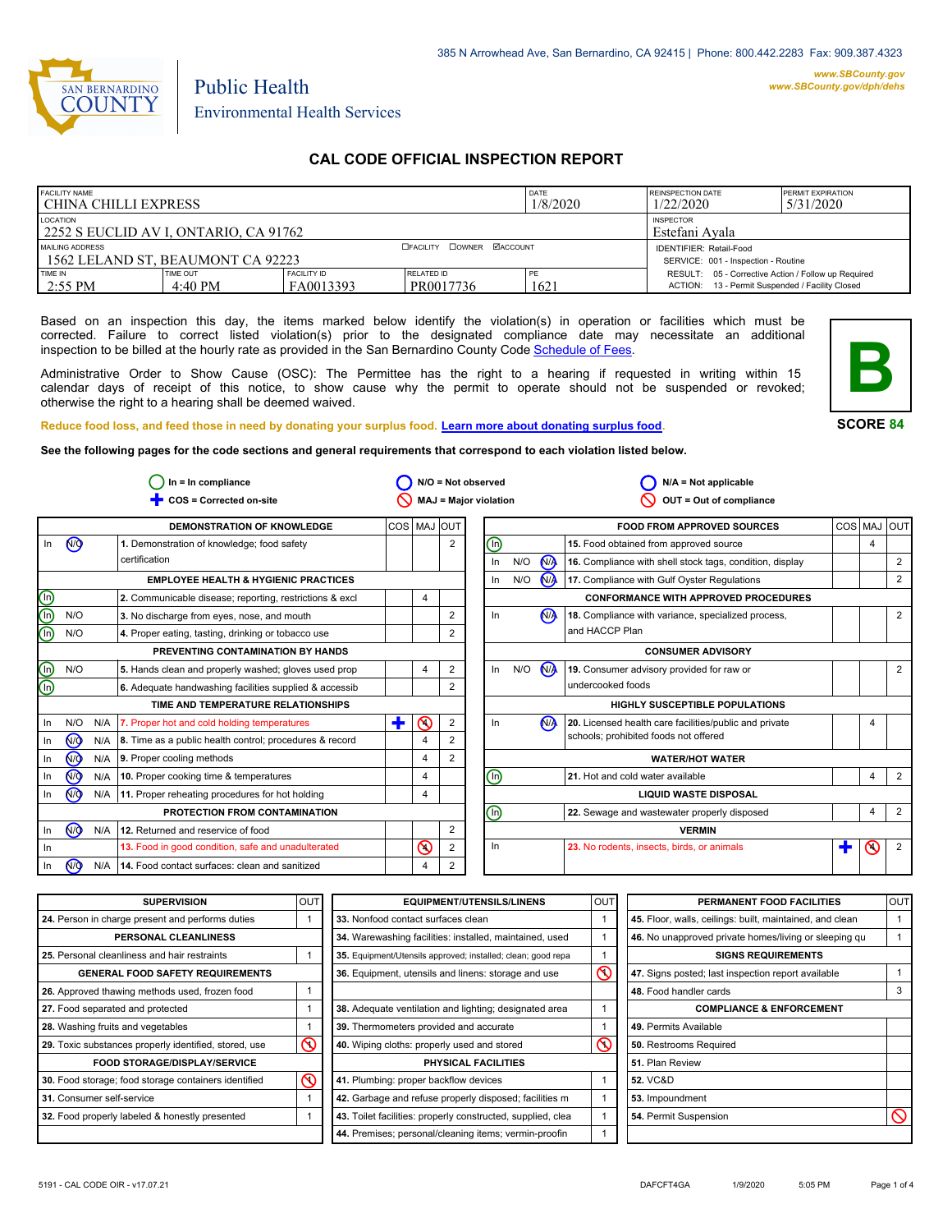

Public Health

## **CAL CODE OFFICIAL INSPECTION REPORT**

| <b>FACILITY NAME</b><br>I CHINA CHILLI EXPRESS         |                     |                                                                       |                                | DATE<br>1/8/2020 | <b>REINSPECTION DATE</b><br>1/22/2020                                                                  | <b>PERMIT EXPIRATION</b><br>5/31/2020 |
|--------------------------------------------------------|---------------------|-----------------------------------------------------------------------|--------------------------------|------------------|--------------------------------------------------------------------------------------------------------|---------------------------------------|
| LOCATION<br>2252 S EUCLID AV I. ONTARIO. CA 91762      |                     | <b>INSPECTOR</b><br>Estefani Avala                                    |                                |                  |                                                                                                        |                                       |
| MAILING ADDRESS<br>1 1562 LELAND ST. BEAUMONT CA 92223 |                     | <b>IDENTIFIER: Retail-Food</b><br>SERVICE: 001 - Inspection - Routine |                                |                  |                                                                                                        |                                       |
| TIME IN<br>$2:55$ PM                                   | TIME OUT<br>4:40 PM | FACILITY ID<br>FA0013393                                              | <b>RELATED ID</b><br>PR0017736 | PE<br>1621       | RESULT: 05 - Corrective Action / Follow up Required<br>ACTION: 13 - Permit Suspended / Facility Closed |                                       |

Based on an inspection this day, the items marked below identify the violation(s) in operation or facilities which must be corrected. Failure to correct listed violation(s) prior to the designated compliance date may necessitate an additional inspection to be billed at the hourly rate as provided in the San Bernardino County Code Schedule [of Fees.](http://www.amlegal.com/nxt/gateway.dll/California/sanbernardinocounty_ca/title1governmentandadministration/division6countyfees/chapter2scheduleoffees?f=templates$fn=default.htm$3.0$vid=amlegal:sanbernardinocounty_ca$anc=JD_16.0213B)

Administrative Order to Show Cause (OSC): The Permittee has the right to a hearing if requested in writing within 15 calendar days of receipt of this notice, to show cause why the permit to operate should not be suspended or revoked; otherwise the right to a hearing shall be deemed waived.



**SCORE 84**

**Reduce food loss, and feed those in need by donating your surplus food. Learn mor[e about donating surplus food.](http://wp.sbcounty.gov/dph/programs/ehs/food-facilities/)**

**See the following pages for the code sections and general requirements that correspond to each violation listed below.**

| $ln = ln$ compliance |                | $N/O = Not observed$ |                                                               |                |                | $N/A = Not applicable$ |                              |     |                      |                                                          |   |         |                |
|----------------------|----------------|----------------------|---------------------------------------------------------------|----------------|----------------|------------------------|------------------------------|-----|----------------------|----------------------------------------------------------|---|---------|----------------|
|                      |                |                      | COS = Corrected on-site                                       |                |                |                        | <b>MAJ = Major violation</b> |     |                      | OUT = Out of compliance                                  |   |         |                |
|                      |                |                      | <b>DEMONSTRATION OF KNOWLEDGE</b>                             | COS   MAJ  OUT |                |                        |                              |     |                      | <b>FOOD FROM APPROVED SOURCES</b>                        |   |         | COS MAJ OUT    |
| In                   | <b>CD</b>      |                      | 1. Demonstration of knowledge; food safety                    |                |                | 2                      | ⓪                            |     |                      | 15. Food obtained from approved source                   |   | 4       |                |
|                      |                |                      | certification                                                 |                |                |                        | In                           | N/O | <b>MA</b>            | 16. Compliance with shell stock tags, condition, display |   |         | $\overline{2}$ |
|                      |                |                      | <b>EMPLOYEE HEALTH &amp; HYGIENIC PRACTICES</b>               |                |                |                        | In                           | N/O | <b>N<sub>A</sub></b> | 17. Compliance with Gulf Oyster Regulations              |   |         | 2              |
| ee                   |                |                      | 2. Communicable disease; reporting, restrictions & excl       |                | 4              |                        |                              |     |                      | <b>CONFORMANCE WITH APPROVED PROCEDURES</b>              |   |         |                |
|                      | N/O            |                      | 3. No discharge from eyes, nose, and mouth                    |                |                | 2                      | In                           |     | N <sub>A</sub>       | 18. Compliance with variance, specialized process,       |   |         | $\overline{2}$ |
|                      | N/O            |                      | 4. Proper eating, tasting, drinking or tobacco use            |                |                |                        |                              |     |                      | and HACCP Plan                                           |   |         |                |
|                      |                |                      | PREVENTING CONTAMINATION BY HANDS                             |                |                |                        |                              |     |                      | <b>CONSUMER ADVISORY</b>                                 |   |         |                |
|                      | N/O            |                      | 5. Hands clean and properly washed; gloves used prop          |                | 4              | 2                      | In                           | N/O | <b>N<sub>A</sub></b> | 19. Consumer advisory provided for raw or                |   |         | 2              |
| ele                  |                |                      | 6. Adequate handwashing facilities supplied & accessib        |                |                | 2                      |                              |     |                      | undercooked foods                                        |   |         |                |
|                      |                |                      | TIME AND TEMPERATURE RELATIONSHIPS                            |                |                |                        |                              |     |                      | <b>HIGHLY SUSCEPTIBLE POPULATIONS</b>                    |   |         |                |
| In                   | N/O            | N/A                  | 7. Proper hot and cold holding temperatures                   | ÷              | の              | $\overline{2}$         | In                           |     | N <sub>A</sub>       | 20. Licensed health care facilities/public and private   |   |         |                |
| -ln                  | <b>ඹ</b>       |                      | N/A   8. Time as a public health control; procedures & record |                | $\overline{4}$ |                        |                              |     |                      | schools; prohibited foods not offered                    |   |         |                |
| In                   | <b>ඹ</b>       | N/A                  | 9. Proper cooling methods                                     |                | 4              | 2                      |                              |     |                      | <b>WATER/HOT WATER</b>                                   |   |         |                |
| In                   | <b>√</b>       | N/A                  | 10. Proper cooking time & temperatures                        |                | 4              |                        | ℗                            |     |                      | 21. Hot and cold water available                         |   | 4       | 2              |
| In                   | (₩             |                      | N/A 11. Proper reheating procedures for hot holding           |                | 4              |                        | <b>LIQUID WASTE DISPOSAL</b> |     |                      |                                                          |   |         |                |
|                      |                |                      | PROTECTION FROM CONTAMINATION                                 |                |                |                        | ⋒                            |     |                      | 22. Sewage and wastewater properly disposed              |   | 4       | $\overline{2}$ |
| In                   | (ਔ             | N/A                  | 12. Returned and reservice of food                            |                |                | 2                      |                              |     |                      | <b>VERMIN</b>                                            |   |         |                |
| - In                 |                |                      | 13. Food in good condition, safe and unadulterated            |                | $\circledcirc$ | 2                      | ln                           |     |                      | 23. No rodents, insects, birds, or animals               | Ŧ | $\odot$ | $\overline{2}$ |
| In                   | N <sub>O</sub> | N/A                  | 14. Food contact surfaces: clean and sanitized                |                | 4              | 2                      |                              |     |                      |                                                          |   |         |                |

| <b>SUPERVISION</b>                                    | <b>OUT</b> | <b>EQUIPMENT/UTENSILS/LINENS</b>                             | <b>OUT</b>         | PERMANENT FOOD FACILITIES                                | <b>OUT</b> |
|-------------------------------------------------------|------------|--------------------------------------------------------------|--------------------|----------------------------------------------------------|------------|
| 24. Person in charge present and performs duties      |            | 33. Nonfood contact surfaces clean                           |                    | 45. Floor, walls, ceilings: built, maintained, and clean |            |
| PERSONAL CLEANLINESS                                  |            | 34. Warewashing facilities: installed, maintained, used      |                    | 46. No unapproved private homes/living or sleeping gu    |            |
| 25. Personal cleanliness and hair restraints          |            | 35. Equipment/Utensils approved; installed; clean; good repa |                    | <b>SIGNS REQUIREMENTS</b>                                |            |
| <b>GENERAL FOOD SAFETY REQUIREMENTS</b>               |            | 36. Equipment, utensils and linens: storage and use          | $\overline{\circ}$ | 47. Signs posted; last inspection report available       |            |
| 26. Approved thawing methods used, frozen food        |            |                                                              |                    | 48. Food handler cards                                   |            |
| 27. Food separated and protected                      |            | 38. Adequate ventilation and lighting; designated area       |                    | <b>COMPLIANCE &amp; ENFORCEMENT</b>                      |            |
| 28. Washing fruits and vegetables                     |            | 39. Thermometers provided and accurate                       |                    | 49. Permits Available                                    |            |
| 29. Toxic substances properly identified, stored, use | $\infty$   | 40. Wiping cloths: properly used and stored                  | $\infty$           | 50. Restrooms Required                                   |            |
| <b>FOOD STORAGE/DISPLAY/SERVICE</b>                   |            | PHYSICAL FACILITIES                                          |                    | 51. Plan Review                                          |            |
| 30. Food storage; food storage containers identified  | $\infty$   | 41. Plumbing: proper backflow devices                        |                    | <b>52. VC&amp;D</b>                                      |            |
| 31. Consumer self-service                             |            | 42. Garbage and refuse properly disposed; facilities m       |                    | 53. Impoundment                                          |            |
| 32. Food properly labeled & honestly presented        |            | 43. Toilet facilities: properly constructed, supplied, clea  |                    | 54. Permit Suspension                                    |            |
|                                                       |            | 44. Premises; personal/cleaning items; vermin-proofin        |                    |                                                          |            |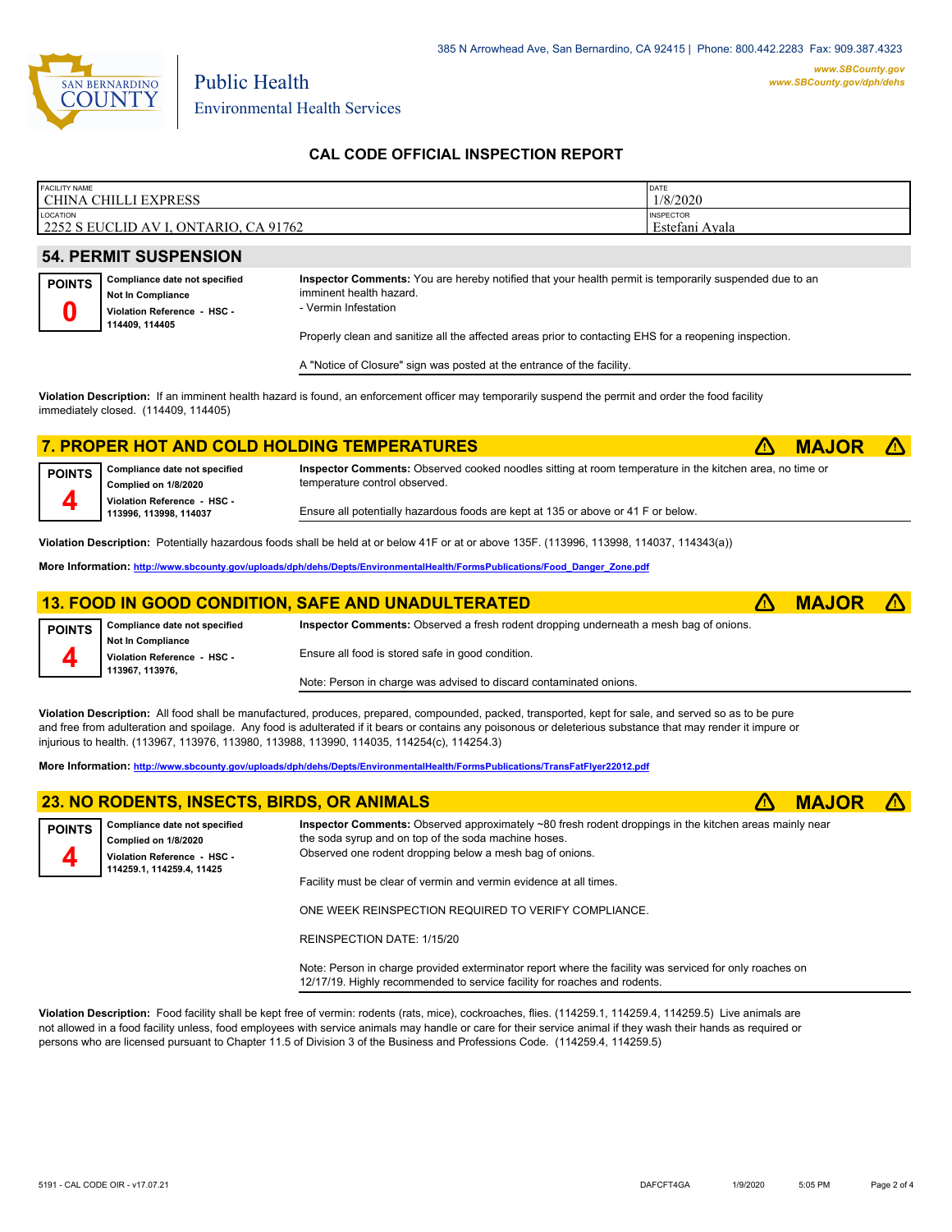

Public Health

## **CAL CODE OFFICIAL INSPECTION REPORT**

| <b>FACILITY NAME</b><br>CHINA CHILLI<br><b>JEXPRESS</b>          | DATE<br>1/8/2020                   |
|------------------------------------------------------------------|------------------------------------|
| <b>LOCATION</b><br>2252 S EUCLID AV I.<br>CA 91762<br>, ONTARIO, | <b>INSPECTOR</b><br>Estefani Avala |

## **54. PERMIT SUSPENSION**

| <b>POINTS</b> | Compliance date not specified                 |
|---------------|-----------------------------------------------|
|               | Not In Compliance                             |
|               | Violation Reference - HSC -<br>114409, 114405 |

**Inspector Comments:** You are hereby notified that your health permit is temporarily suspended due to an imminent health hazard.

- Vermin Infestation

Properly clean and sanitize all the affected areas prior to contacting EHS for a reopening inspection.

A "Notice of Closure" sign was posted at the entrance of the facility.

**Violation Description:** If an imminent health hazard is found, an enforcement officer may temporarily suspend the permit and order the food facility immediately closed. (114409, 114405)

## **7. PROPER HOT AND COLD HOLDING TEMPERATURES** ê**! MAJOR** ê**! Compliance date not specified**

**Complied on 1/8/2020 Violation Reference - HSC - 113996, 113998, 114037 POINTS 4**

**Inspector Comments:** Observed cooked noodles sitting at room temperature in the kitchen area, no time or temperature control observed.

Ensure all potentially hazardous foods are kept at 135 or above or 41 F or below.

**Violation Description:** Potentially hazardous foods shall be held at or below 41F or at or above 135F. (113996, 113998, 114037, 114343(a))

**More Information: [http://www.sbcounty.gov/uploads/dph/dehs/Depts/EnvironmentalHealth/FormsPublications/Food\\_Danger\\_Zone.pdf](http://www.sbcounty.gov/uploads/dph/dehs/Depts/EnvironmentalHealth/FormsPublications/Food_Danger_Zone.pdf)**

#### **13. FOOD IN GOOD CONDITION, SAFE AND UNADULTERATED** ê**! MAJOR** ê**! Compliance date not specified Inspector Comments:** Observed a fresh rodent dropping underneath a mesh bag of onions.

**Not In Compliance Violation Reference - HSC - 113967, 113976, POINTS 4** Ensure all food is stored safe in good condition. Note: Person in charge was advised to discard contaminated onions.

**Violation Description:** All food shall be manufactured, produces, prepared, compounded, packed, transported, kept for sale, and served so as to be pure and free from adulteration and spoilage. Any food is adulterated if it bears or contains any poisonous or deleterious substance that may render it impure or injurious to health. (113967, 113976, 113980, 113988, 113990, 114035, 114254(c), 114254.3)

**More Information: <http://www.sbcounty.gov/uploads/dph/dehs/Depts/EnvironmentalHealth/FormsPublications/TransFatFlyer22012.pdf>**

|               | 23. NO RODENTS, INSECTS, BIRDS, OR ANIMALS                                                                        |                                                                                                                                                                                                                            | <b>MAJOR <math>\triangle</math></b> |  |
|---------------|-------------------------------------------------------------------------------------------------------------------|----------------------------------------------------------------------------------------------------------------------------------------------------------------------------------------------------------------------------|-------------------------------------|--|
| <b>POINTS</b> | Compliance date not specified<br>Complied on 1/8/2020<br>Violation Reference - HSC -<br>114259.1, 114259.4, 11425 | Inspector Comments: Observed approximately ~80 fresh rodent droppings in the kitchen areas mainly near<br>the soda syrup and on top of the soda machine hoses.<br>Observed one rodent dropping below a mesh bag of onions. |                                     |  |
|               |                                                                                                                   | Facility must be clear of vermin and vermin evidence at all times.                                                                                                                                                         |                                     |  |

ONE WEEK REINSPECTION REQUIRED TO VERIFY COMPLIANCE.

REINSPECTION DATE: 1/15/20

Note: Person in charge provided exterminator report where the facility was serviced for only roaches on 12/17/19. Highly recommended to service facility for roaches and rodents.

**Violation Description:** Food facility shall be kept free of vermin: rodents (rats, mice), cockroaches, flies. (114259.1, 114259.4, 114259.5) Live animals are not allowed in a food facility unless, food employees with service animals may handle or care for their service animal if they wash their hands as required or persons who are licensed pursuant to Chapter 11.5 of Division 3 of the Business and Professions Code. (114259.4, 114259.5)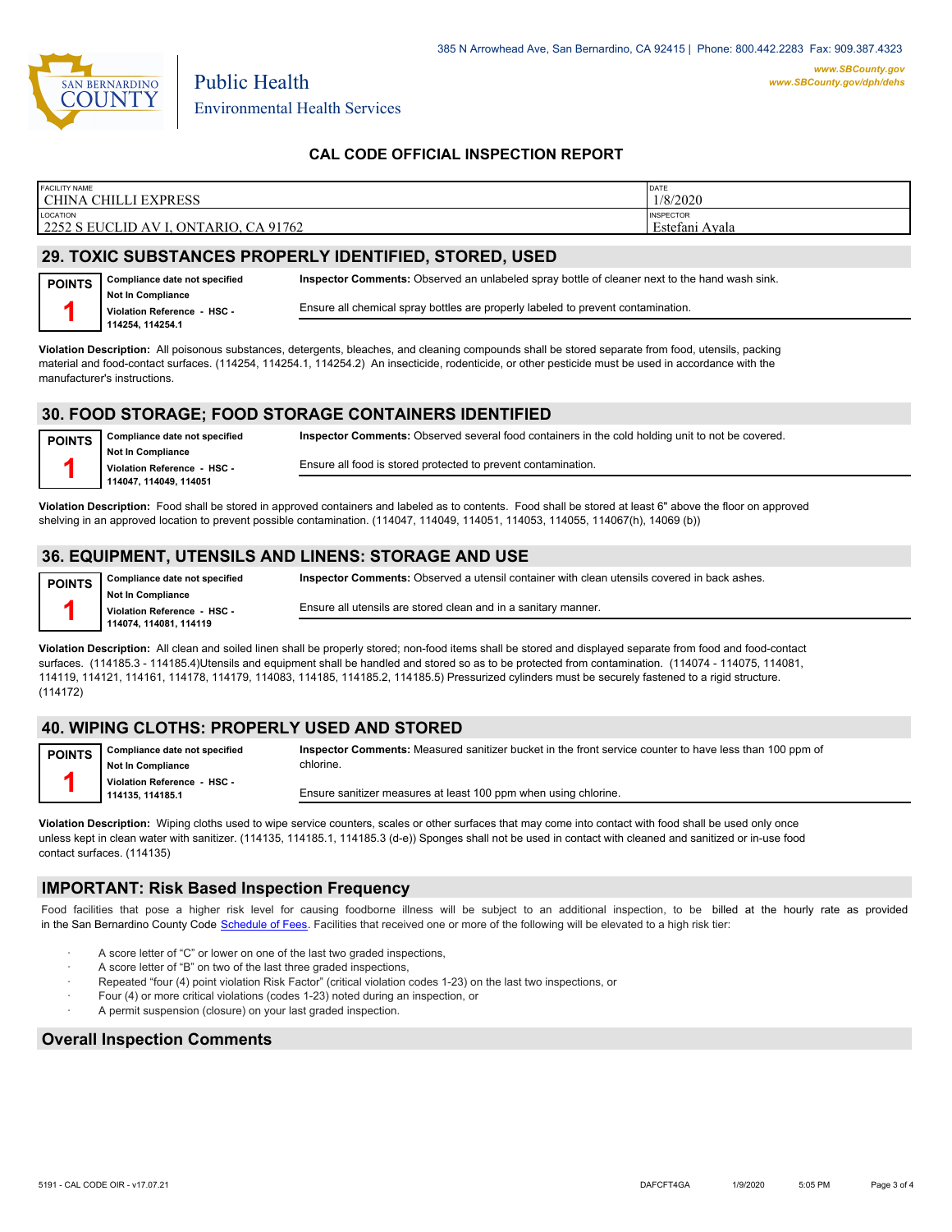

Public Health

## **CAL CODE OFFICIAL INSPECTION REPORT**

| <b>FACILITY NAME</b><br><b>CHILLI EXPRESS</b><br>CHINA C                | <b>DATE</b><br>1/8/2020            |
|-------------------------------------------------------------------------|------------------------------------|
| LOCATION<br>2252 S EUCLID AV I.<br>91762<br>, ONTARIO,<br>$\sim$ $\sim$ | <b>INSPECTOR</b><br>Estefani Avala |

## **29. TOXIC SUBSTANCES PROPERLY IDENTIFIED, STORED, USED**

| $\Gamma$ POINTS $\vert$ Compliance date not specified | Inspector  |
|-------------------------------------------------------|------------|
| Not In Compliance                                     |            |
| Violation Reference - HSC -<br>114254, 114254.1       | Ensure all |
|                                                       |            |

**Comments:** Observed an unlabeled spray bottle of cleaner next to the hand wash sink. chemical spray bottles are properly labeled to prevent contamination.

**Inspector Comments:** Observed several food containers in the cold holding unit to not be covered.

**Violation Description:** All poisonous substances, detergents, bleaches, and cleaning compounds shall be stored separate from food, utensils, packing material and food-contact surfaces. (114254, 114254.1, 114254.2) An insecticide, rodenticide, or other pesticide must be used in accordance with the manufacturer's instructions.

## **30. FOOD STORAGE; FOOD STORAGE CONTAINERS IDENTIFIED**

**Compliance date not specified Not In Compliance Violation Reference - HSC - 114047, 114049, 114051 POINTS 1**

Ensure all food is stored protected to prevent contamination.

**Violation Description:** Food shall be stored in approved containers and labeled as to contents. Food shall be stored at least 6" above the floor on approved shelving in an approved location to prevent possible contamination. (114047, 114049, 114051, 114053, 114055, 114067(h), 14069 (b))

## **36. EQUIPMENT, UTENSILS AND LINENS: STORAGE AND USE**

**Compliance date not specified Not In Compliance Violation Reference - HSC - 114074, 114081, 114119 POINTS 1**

**Inspector Comments:** Observed a utensil container with clean utensils covered in back ashes.

Ensure all utensils are stored clean and in a sanitary manner.

**Violation Description:** All clean and soiled linen shall be properly stored; non-food items shall be stored and displayed separate from food and food-contact surfaces. (114185.3 - 114185.4)Utensils and equipment shall be handled and stored so as to be protected from contamination. (114074 - 114075, 114081, 114119, 114121, 114161, 114178, 114179, 114083, 114185, 114185.2, 114185.5) Pressurized cylinders must be securely fastened to a rigid structure. (114172)

## **40. WIPING CLOTHS: PROPERLY USED AND STORED**

| <b>POINTS</b> | Compliance date not specified                  | Inspector Comments: Measured sanitizer bucket in the front service counter to have less than 100 ppm of |
|---------------|------------------------------------------------|---------------------------------------------------------------------------------------------------------|
|               | <b>Not In Compliance</b>                       | chlorine.                                                                                               |
|               | Violation Reference - HSC -<br>114135.114185.1 | Ensure sanitizer measures at least 100 ppm when using chlorine.                                         |
|               |                                                |                                                                                                         |

**Violation Description:** Wiping cloths used to wipe service counters, scales or other surfaces that may come into contact with food shall be used only once unless kept in clean water with sanitizer. (114135, 114185.1, 114185.3 (d-e)) Sponges shall not be used in contact with cleaned and sanitized or in-use food contact surfaces. (114135)

### **IMPORTANT: Risk Based Inspection Frequency**

Food facilities that pose a higher risk level for causing foodborne illness will be subject to an additional inspection, to be billed at the hourly rate as provided in the San Bernardino County Code S[chedule of Fees. Facilitie](http://www.amlegal.com/nxt/gateway.dll/California/sanbernardinocounty_ca/title1governmentandadministration/division6countyfees/chapter2scheduleoffees?f=templates$fn=default.htm$3.0$vid=amlegal:sanbernardinocounty_ca$anc=JD_16.0213B)s that received one or more of the following will be elevated to a high risk tier:

- A score letter of "C" or lower on one of the last two graded inspections,
- A score letter of "B" on two of the last three graded inspections,
- Repeated "four (4) point violation Risk Factor" (critical violation codes 1-23) on the last two inspections, or
- Four (4) or more critical violations (codes 1-23) noted during an inspection, or
- A permit suspension (closure) on your last graded inspection.

#### **Overall Inspection Comments**